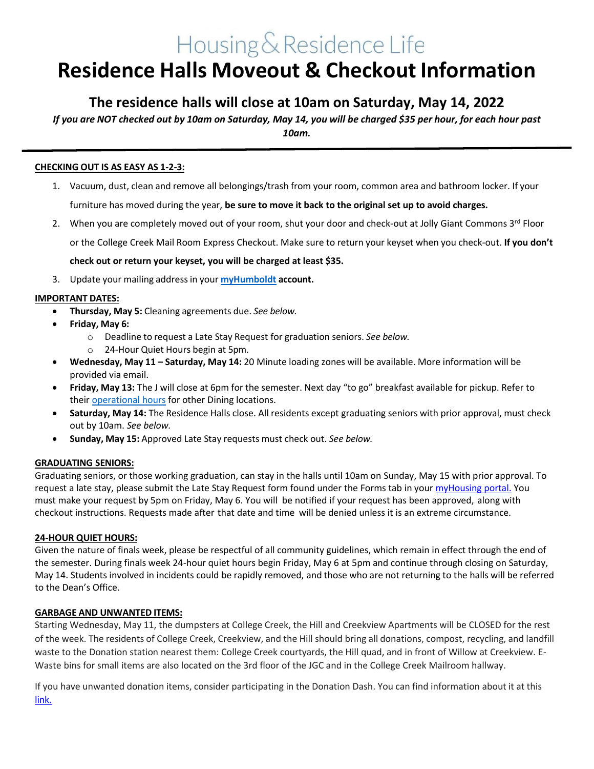# Housing & Residence Life **Residence Halls Moveout & Checkout Information**

# **The residence halls will close at 10am on Saturday, May 14, 2022**

If you are NOT checked out by 10am on Saturday, May 14, you will be charged \$35 per hour, for each hour past *10am.*

# **CHECKING OUT IS AS EASY AS 1-2-3:**

- 1. Vacuum, dust, clean and remove all belongings/trash from your room, common area and bathroom locker. If your furniture has moved during the year, **be sure to move it back to the original set up to avoid charges.**
- 2. When you are completely moved out of your room, shut your door and check-out at Jolly Giant Commons 3rd Floor or the College Creek Mail Room Express Checkout. Make sure to return your keyset when you check-out. **If you don't check out or return your keyset, you will be charged at least \$35.**
- 3. Update your mailing addressin your **[myHumboldt](https://cas.humboldt.edu/) account.**

## **IMPORTANT DATES:**

- **Thursday, May 5:** Cleaning agreements due. *See below.*
- **Friday, May 6:**
	- o Deadline to request a Late Stay Request for graduation seniors. *See below.*
	- o 24-Hour Quiet Hours begin at 5pm.
- **Wednesday, May 11 – Saturday, May 14:** 20 Minute loading zones will be available. More information will be provided via email.
- **Friday, May 13:** The J will close at 6pm for the semester. Next day "to go" breakfast available for pickup. Refer to thei[r operational hours](https://dineoncampus.com/calpolyhumboldt) for other Dining locations.
- **Saturday, May 14:** The Residence Halls close. All residents except graduating seniors with prior approval, must check out by 10am. *See below.*
- **Sunday, May 15:** Approved Late Stay requests must check out. *See below.*

#### **GRADUATING SENIORS:**

Graduating seniors, or those working graduation, can stay in the halls until 10am on Sunday, May 15 with prior approval. To request a late stay, please submit the Late Stay Request form found under the Forms tab in your [myHousing portal.](https://cas.humboldt.edu/cas/login?service=https%3a%2f%2fhumboldt.starrezhousing.com%2fStarRezPortalX%2fRedirectLogin%2fStarNet.StarRez.AuthProviders.CasSso) You must make your request by 5pm on Friday, May 6. You will be notified if your request has been approved, along with checkout instructions. Requests made after that date and time will be denied unless it is an extreme circumstance.

#### **24-HOUR QUIET HOURS:**

Given the nature of finals week, please be respectful of all community guidelines, which remain in effect through the end of the semester. During finals week 24-hour quiet hours begin Friday, May 6 at 5pm and continue through closing on Saturday, May 14. Students involved in incidents could be rapidly removed, and those who are not returning to the halls will be referred to the Dean's Office.

#### **GARBAGE AND UNWANTED ITEMS:**

Starting Wednesday, May 11, the dumpsters at College Creek, the Hill and Creekview Apartments will be CLOSED for the rest of the week. The residents of College Creek, Creekview, and the Hill should bring all donations, compost, recycling, and landfill waste to the Donation station nearest them: College Creek courtyards, the Hill quad, and in front of Willow at Creekview. E-Waste bins for small items are also located on the 3rd floor of the JGC and in the College Creek Mailroom hallway.

If you have unwanted donation items, consider participating in the Donation Dash. You can find information about it at this [link.](https://wrrap.humboldt.edu/donation-dash)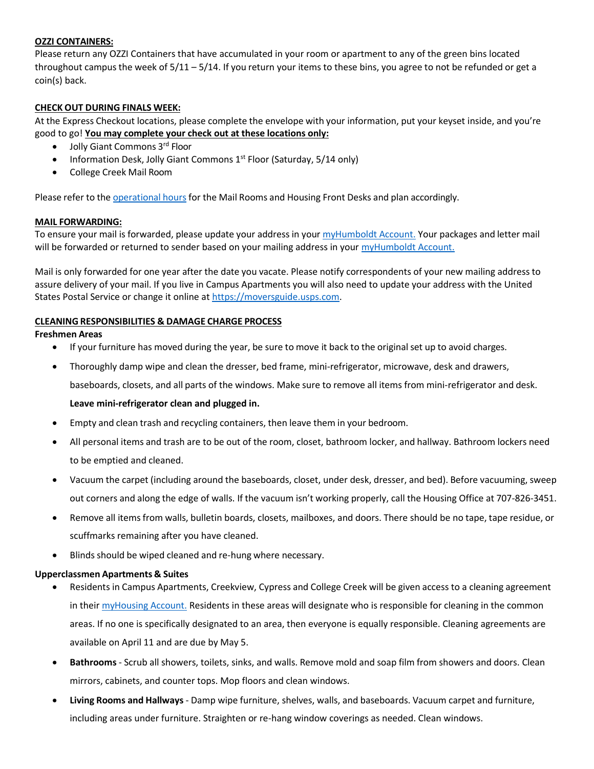## **OZZI CONTAINERS:**

Please return any OZZI Containers that have accumulated in your room or apartment to any of the green bins located throughout campus the week of 5/11 – 5/14. If you return your items to these bins, you agree to not be refunded or get a coin(s) back.

# **CHECK OUT DURING FINALS WEEK:**

At the Express Checkout locations, please complete the envelope with your information, put your keyset inside, and you're good to go! **You may complete your check out at these locations only:**

- Jolly Giant Commons 3rd Floor
- Information Desk, Jolly Giant Commons 1<sup>st</sup> Floor (Saturday, 5/14 only)
- College Creek Mail Room

Please refer to the [operational](https://housing.humboldt.edu/node/143) hours for the Mail Rooms and Housing Front Desks and plan accordingly.

## **MAIL FORWARDING:**

To ensure your mail is forwarded, please update your address in your [myHumboldt](https://cas.humboldt.edu/) Account. Your packages and letter mail will be forwarded or returned to sender based on your mailing address in you[r myHumboldt Account.](https://cas.humboldt.edu/)

Mail is only forwarded for one year after the date you vacate. Please notify correspondents of your new mailing address to assure delivery of your mail. If you live in Campus Apartments you will also need to update your address with the United States Postal Service or change it online a[t https://moversguide.usps.com.](https://moversguide.usps.com/)

# **CLEANING RESPONSIBILITIES & DAMAGE CHARGE PROCESS**

## **Freshmen Areas**

- If your furniture has moved during the year, be sure to move it back to the original set up to avoid charges.
- Thoroughly damp wipe and clean the dresser, bed frame, mini-refrigerator, microwave, desk and drawers, baseboards, closets, and all parts of the windows. Make sure to remove all items from mini-refrigerator and desk.

# **Leave mini-refrigerator clean and plugged in.**

- Empty and clean trash and recycling containers, then leave them in your bedroom.
- All personal items and trash are to be out of the room, closet, bathroom locker, and hallway. Bathroom lockers need to be emptied and cleaned.
- Vacuum the carpet (including around the baseboards, closet, under desk, dresser, and bed). Before vacuuming, sweep out corners and along the edge of walls. If the vacuum isn't working properly, call the Housing Office at 707-826-3451.
- Remove all itemsfrom walls, bulletin boards, closets, mailboxes, and doors. There should be no tape, tape residue, or scuffmarks remaining after you have cleaned.
- Blinds should be wiped cleaned and re-hung where necessary.

#### **Upperclassmen Apartments & Suites**

- Residents in Campus Apartments, Creekview, Cypress and College Creek will be given access to a cleaning agreement in their [myHousing Account.](https://myhousing.humboldt.edu/) Residents in these areas will designate who is responsible for cleaning in the common areas. If no one is specifically designated to an area, then everyone is equally responsible. Cleaning agreements are available on April 11 and are due by May 5.
- **Bathrooms** Scrub all showers, toilets, sinks, and walls. Remove mold and soap film from showers and doors. Clean mirrors, cabinets, and counter tops. Mop floors and clean windows.
- **Living Rooms and Hallways** Damp wipe furniture, shelves, walls, and baseboards. Vacuum carpet and furniture, including areas under furniture. Straighten or re-hang window coverings as needed. Clean windows.